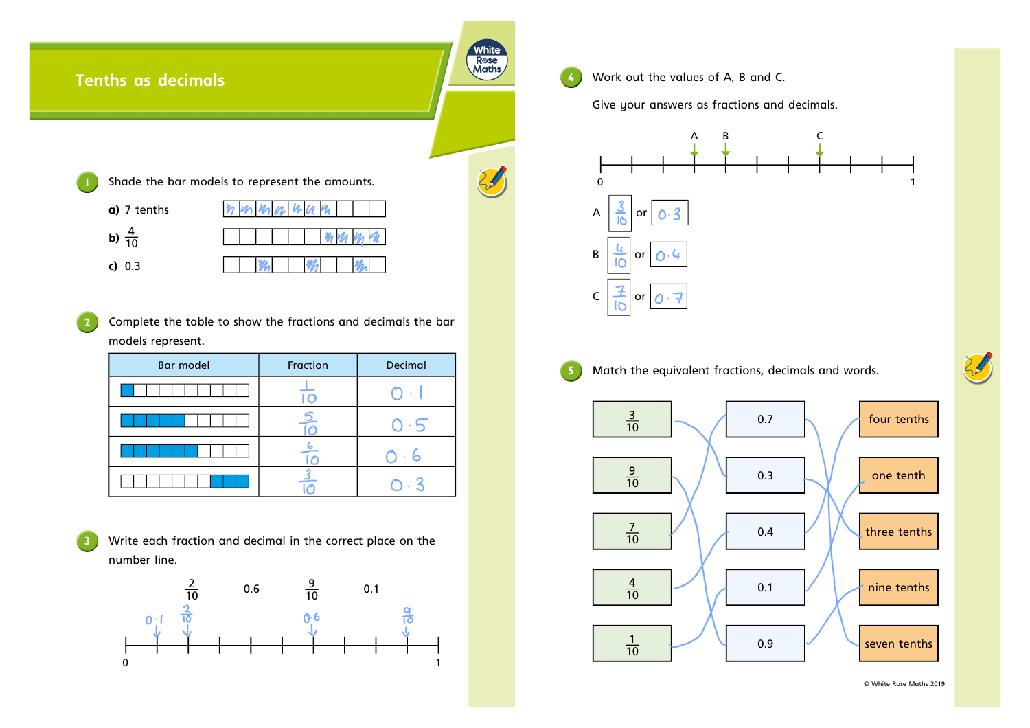## White Rose<br>Maths **Tenths as decimals**  $\mathcal{C}$ **1** Shade the bar models to represent the amounts. **a)** 7 tenths **b)**  $\frac{4}{16}$ 10 **c)** 0.3

**2** Complete the table to show the fractions and decimals the bar models represent.

| Bar model | Fraction | Decimal |  |  |
|-----------|----------|---------|--|--|
|           |          |         |  |  |
|           |          |         |  |  |
|           |          |         |  |  |
|           |          |         |  |  |

**3** Write each fraction and decimal in the correct place on the number line.



**4** Work out the values of A, B and C.

Give your answers as fractions and decimals.





**5** Match the equivalent fractions, decimals and words.



© White Rose Maths 2019